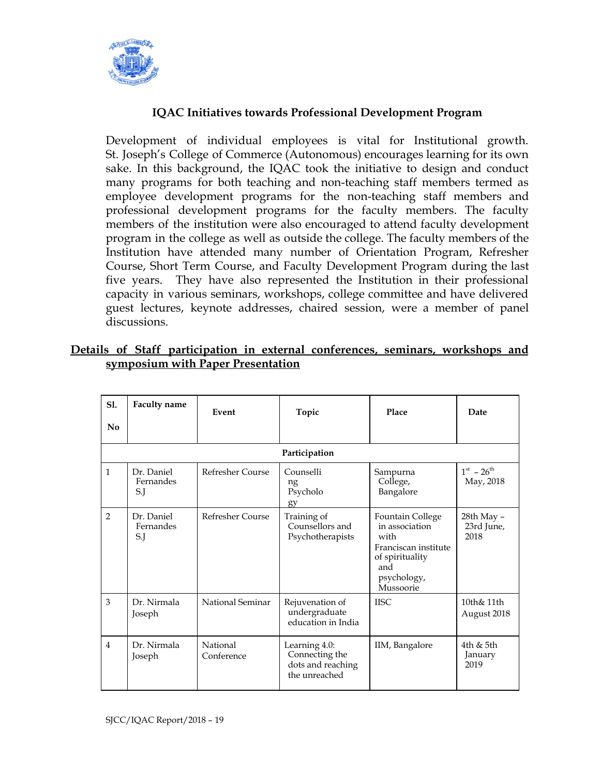

## **IQAC Initiatives towards Professional Development Program**

Development of individual employees is vital for Institutional growth. St. Joseph's College of Commerce (Autonomous) encourages learning for its own sake. In this background, the IQAC took the initiative to design and conduct many programs for both teaching and non-teaching staff members termed as employee development programs for the non-teaching staff members and professional development programs for the faculty members. The faculty members of the institution were also encouraged to attend faculty development program in the college as well as outside the college. The faculty members of the Institution have attended many number of Orientation Program, Refresher Course, Short Term Course, and Faculty Development Program during the last five years. They have also represented the Institution in their professional capacity in various seminars, workshops, college committee and have delivered guest lectures, keynote addresses, chaired session, were a member of panel discussions.

|  |                                   |  | Details of Staff participation in external conferences, seminars, workshops and |  |  |
|--|-----------------------------------|--|---------------------------------------------------------------------------------|--|--|
|  | symposium with Paper Presentation |  |                                                                                 |  |  |

| Sl.<br>No | <b>Faculty name</b>            | Event                  | Topic                                                                 | Place                                                                                                                           | Date                             |  |  |
|-----------|--------------------------------|------------------------|-----------------------------------------------------------------------|---------------------------------------------------------------------------------------------------------------------------------|----------------------------------|--|--|
|           | Participation                  |                        |                                                                       |                                                                                                                                 |                                  |  |  |
| 1         | Dr. Daniel<br>Fernandes<br>S.J | Refresher Course       | Counselli<br>ng<br>Psycholo<br>gy                                     | Sampurna<br>College,<br>Bangalore                                                                                               | $1^{st} - 26^{th}$<br>May, 2018  |  |  |
| 2         | Dr. Daniel<br>Fernandes<br>S.J | Refresher Course       | Training of<br>Counsellors and<br>Psychotherapists                    | <b>Fountain College</b><br>in association<br>with<br>Franciscan institute<br>of spirituality<br>and<br>psychology,<br>Mussoorie | 28th May -<br>23rd June,<br>2018 |  |  |
| 3         | Dr. Nirmala<br>Joseph          | National Seminar       | Rejuvenation of<br>undergraduate<br>education in India                | <b>IISC</b>                                                                                                                     | 10th& 11th<br>August 2018        |  |  |
| 4         | Dr. Nirmala<br>Joseph          | National<br>Conference | Learning 4.0:<br>Connecting the<br>dots and reaching<br>the unreached | IIM, Bangalore                                                                                                                  | 4th & 5th<br>January<br>2019     |  |  |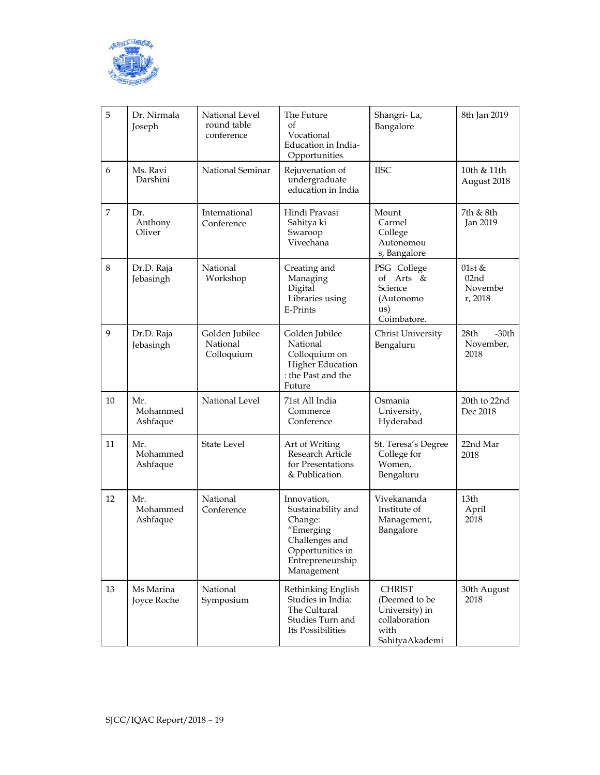

| 5  | Dr. Nirmala<br>Joseph       | National Level<br>round table<br>conference | The Future<br>of<br>Vocational<br>Education in India-<br>Opportunities                                                            | Shangri-La,<br>Bangalore                                                                    | 8th Jan 2019                                     |
|----|-----------------------------|---------------------------------------------|-----------------------------------------------------------------------------------------------------------------------------------|---------------------------------------------------------------------------------------------|--------------------------------------------------|
| 6  | Ms. Ravi<br>Darshini        | National Seminar                            | Rejuvenation of<br>undergraduate<br>education in India                                                                            | <b>IISC</b>                                                                                 | 10th & 11th<br>August 2018                       |
| 7  | Dr.<br>Anthony<br>Oliver    | International<br>Conference                 | Hindi Pravasi<br>Sahitya ki<br>Swaroop<br>Vivechana                                                                               | Mount<br>Carmel<br>College<br>Autonomou<br>s, Bangalore                                     | 7th & 8th<br>Jan 2019                            |
| 8  | Dr.D. Raja<br>Jebasingh     | National<br>Workshop                        | Creating and<br>Managing<br>Digital<br>Libraries using<br><b>E-Prints</b>                                                         | PSG College<br>of Arts &<br>Science<br>(Autonomo<br>us)<br>Coimbatore.                      | 01st &<br>02 <sub>nd</sub><br>Novembe<br>r, 2018 |
| 9  | Dr.D. Raja<br>Jebasingh     | Golden Jubilee<br>National<br>Colloquium    | Golden Jubilee<br>National<br>Colloquium on<br><b>Higher Education</b><br>: the Past and the<br>Future                            | Christ University<br>Bengaluru                                                              | 28th<br>$-30th$<br>November,<br>2018             |
| 10 | Mr.<br>Mohammed<br>Ashfaque | National Level                              | 71st All India<br>Commerce<br>Conference                                                                                          | Osmania<br>University,<br>Hyderabad                                                         | 20th to 22nd<br>Dec 2018                         |
| 11 | Mr.<br>Mohammed<br>Ashfaque | <b>State Level</b>                          | Art of Writing<br><b>Research Article</b><br>for Presentations<br>& Publication                                                   | St. Teresa's Degree<br>College for<br>Women,<br>Bengaluru                                   | 22nd Mar<br>2018                                 |
| 12 | Mr.<br>Mohammed<br>Ashfaque | National<br>Conference                      | Innovation,<br>Sustainability and<br>Change:<br>"Emerging<br>Challenges and<br>Opportunities in<br>Entrepreneurship<br>Management | Vivekananda<br>Institute of<br>Management,<br>Bangalore                                     | 13 <sub>th</sub><br>April<br>2018                |
| 13 | Ms Marina<br>Joyce Roche    | National<br>Symposium                       | Rethinking English<br>Studies in India:<br>The Cultural<br>Studies Turn and<br>Its Possibilities                                  | <b>CHRIST</b><br>(Deemed to be<br>University) in<br>collaboration<br>with<br>SahityaAkademi | 30th August<br>2018                              |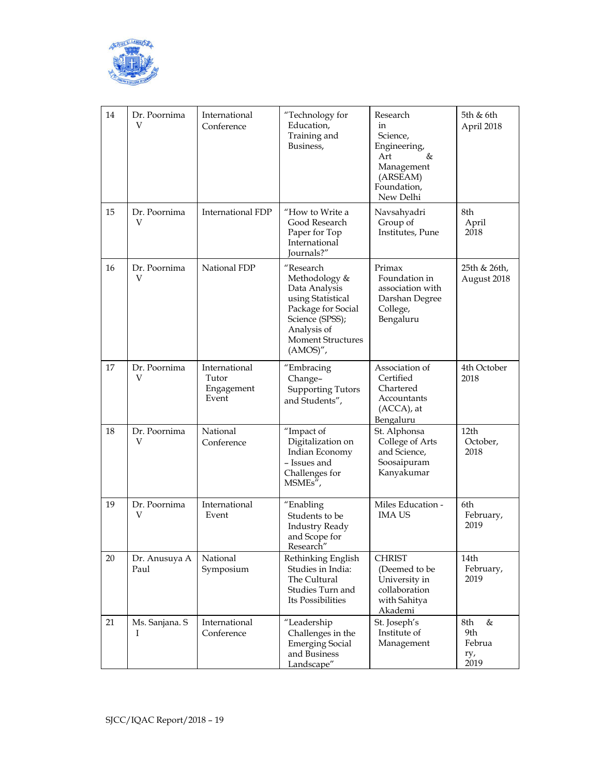

| 14 | Dr. Poornima<br>V     | International<br>Conference                   | "Technology for<br>Education,<br>Training and<br>Business,                                                                                                           | Research<br>in<br>Science,<br>Engineering,<br>&<br>Art<br>Management<br>(ARSEAM)<br>Foundation,<br>New Delhi | 5th & 6th<br>April 2018                  |
|----|-----------------------|-----------------------------------------------|----------------------------------------------------------------------------------------------------------------------------------------------------------------------|--------------------------------------------------------------------------------------------------------------|------------------------------------------|
| 15 | Dr. Poornima<br>V     | <b>International FDP</b>                      | "How to Write a<br>Good Research<br>Paper for Top<br>International<br>Iournals?"                                                                                     | Navsahyadri<br>Group of<br>Institutes, Pune                                                                  | 8th<br>April<br>2018                     |
| 16 | Dr. Poornima<br>V     | National FDP                                  | "Research<br>Methodology &<br>Data Analysis<br>using Statistical<br>Package for Social<br>Science (SPSS);<br>Analysis of<br><b>Moment Structures</b><br>$(AMOS)''$ , | Primax<br>Foundation in<br>association with<br>Darshan Degree<br>College,<br>Bengaluru                       | 25th & 26th,<br>August 2018              |
| 17 | Dr. Poornima<br>V     | International<br>Tutor<br>Engagement<br>Event | "Embracing<br>Change-<br><b>Supporting Tutors</b><br>and Students",                                                                                                  | Association of<br>Certified<br>Chartered<br>Accountants<br>(ACCA), at<br>Bengaluru                           | 4th October<br>2018                      |
| 18 | Dr. Poornima<br>V     | National<br>Conference                        | "Impact of<br>Digitalization on<br>Indian Economy<br>- Issues and<br>Challenges for<br>MSMEs",                                                                       | St. Alphonsa<br>College of Arts<br>and Science,<br>Soosaipuram<br>Kanyakumar                                 | 12th<br>October,<br>2018                 |
| 19 | Dr. Poornima<br>V     | International<br>Event                        | "Enabling<br>Students to be<br><b>Industry Ready</b><br>and Scope for<br>Research                                                                                    | Miles Education -<br><b>IMA US</b>                                                                           | 6th<br>February,<br>2019                 |
| 20 | Dr. Anusuya A<br>Paul | National<br>Symposium                         | Rethinking English<br>Studies in India:<br>The Cultural<br>Studies Turn and<br>Its Possibilities                                                                     | <b>CHRIST</b><br>(Deemed to be<br>University in<br>collaboration<br>with Sahitya<br><u>Akademi</u>           | 14th<br>February,<br>2019                |
| 21 | Ms. Sanjana. S<br>Ι   | International<br>Conference                   | "Leadership<br>Challenges in the<br><b>Emerging Social</b><br>and Business<br>Landscape"                                                                             | St. Joseph's<br>Institute of<br>Management                                                                   | 8th<br>&<br>9th<br>Februa<br>ry,<br>2019 |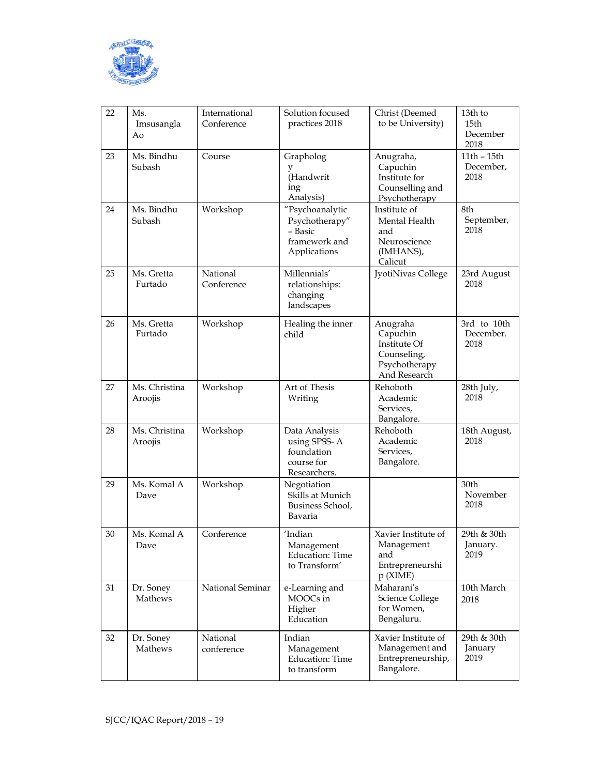

| 22 | Ms.<br>Imsusangla<br>Ao  | International<br>Conference | Solution focused<br>practices 2018                                            | Christ (Deemed<br>to be University)                                                  | 13th to<br>15th<br>December<br>2018 |
|----|--------------------------|-----------------------------|-------------------------------------------------------------------------------|--------------------------------------------------------------------------------------|-------------------------------------|
| 23 | Ms. Bindhu<br>Subash     | Course                      | Grapholog<br>y<br>(Handwrit<br>ing<br>Analysis)                               | Anugraha,<br>Capuchin<br>Institute for<br>Counselling and<br>Psychotherapy           | 11th - 15th<br>December,<br>2018    |
| 24 | Ms. Bindhu<br>Subash     | Workshop                    | "Psychoanalytic<br>Psychotherapy"<br>- Basic<br>framework and<br>Applications | Institute of<br>Mental Health<br>and<br>Neuroscience<br>(IMHANS),<br>Calicut         | 8th<br>September,<br>2018           |
| 25 | Ms. Gretta<br>Furtado    | National<br>Conference      | Millennials'<br>relationships:<br>changing<br>landscapes                      | JyotiNivas College                                                                   | 23rd August<br>2018                 |
| 26 | Ms. Gretta<br>Furtado    | Workshop                    | Healing the inner<br>child                                                    | Anugraha<br>Capuchin<br>Institute Of<br>Counseling,<br>Psychotherapy<br>And Research | 3rd to 10th<br>December.<br>2018    |
| 27 | Ms. Christina<br>Aroojis | Workshop                    | Art of Thesis<br>Writing                                                      | Rehoboth<br>Academic<br>Services,<br>Bangalore.                                      | 28th July,<br>2018                  |
| 28 | Ms. Christina<br>Aroojis | Workshop                    | Data Analysis<br>using SPSS-A<br>foundation<br>course for<br>Researchers.     | Rehoboth<br>Academic<br>Services,<br>Bangalore.                                      | 18th August,<br>2018                |
| 29 | Ms. Komal A<br>Dave      | Workshop                    | Negotiation<br>Skills at Munich<br>Business School,<br>Bavaria                |                                                                                      | 30th<br>November<br>2018            |
| 30 | Ms. Komal A<br>Dave      | Conference                  | 'Indian<br>Management<br>Education: Time<br>to Transform'                     | Xavier Institute of<br>Management<br>and<br>Entrepreneurshi<br>$p$ (XIME)            | 29th & 30th<br>January.<br>2019     |
| 31 | Dr. Soney<br>Mathews     | National Seminar            | e-Learning and<br>MOOCs in<br>Higher<br>Education                             | Maharani's<br>Science College<br>for Women,<br>Bengaluru.                            | 10th March<br>2018                  |
| 32 | Dr. Soney<br>Mathews     | National<br>conference      | Indian<br>Management<br>Education: Time<br>to transform                       | Xavier Institute of<br>Management and<br>Entrepreneurship,<br>Bangalore.             | 29th & 30th<br>January<br>2019      |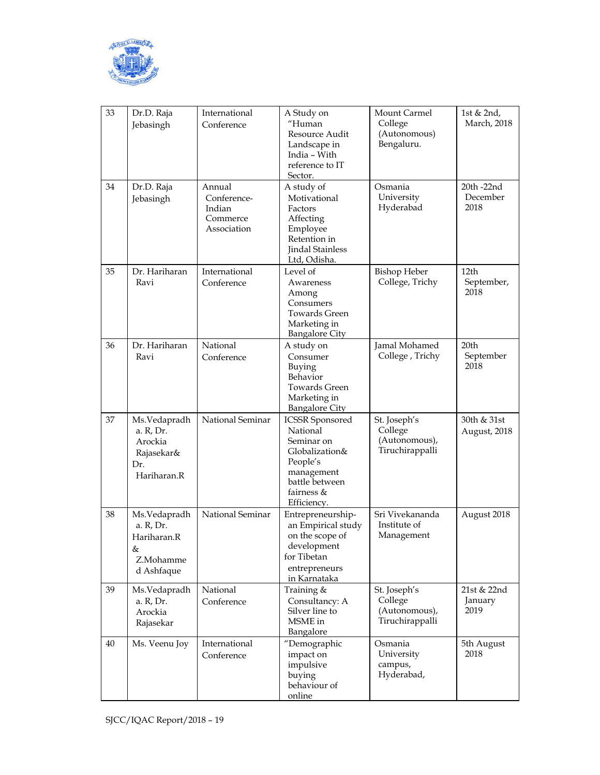

| 33 | Dr.D. Raja<br>Jebasingh                                                  | International<br>Conference                                | A Study on<br>"Human<br>Resource Audit<br>Landscape in<br>India - With<br>reference to IT<br>Sector.                                          | Mount Carmel<br>College<br>(Autonomous)<br>Bengaluru.       | 1st & 2nd,<br>March, 2018              |
|----|--------------------------------------------------------------------------|------------------------------------------------------------|-----------------------------------------------------------------------------------------------------------------------------------------------|-------------------------------------------------------------|----------------------------------------|
| 34 | Dr.D. Raja<br>Jebasingh                                                  | Annual<br>Conference-<br>Indian<br>Commerce<br>Association | A study of<br>Motivational<br>Factors<br>Affecting<br>Employee<br>Retention in<br><b>Jindal Stainless</b><br>Ltd, Odisha.                     | Osmania<br>University<br>Hyderabad                          | 20th -22nd<br>December<br>2018         |
| 35 | Dr. Hariharan<br>Ravi                                                    | International<br>Conference                                | Level of<br>Awareness<br>Among<br>Consumers<br><b>Towards Green</b><br>Marketing in<br><b>Bangalore City</b>                                  | <b>Bishop Heber</b><br>College, Trichy                      | 12 <sub>th</sub><br>September,<br>2018 |
| 36 | Dr. Hariharan<br>Ravi                                                    | National<br>Conference                                     | A study on<br>Consumer<br>Buying<br>Behavior<br><b>Towards Green</b><br>Marketing in<br><b>Bangalore City</b>                                 | Jamal Mohamed<br>College, Trichy                            | 20th<br>September<br>2018              |
| 37 | Ms.Vedapradh<br>a. R, Dr.<br>Arockia<br>Rajasekar&<br>Dr.<br>Hariharan.R | National Seminar                                           | <b>ICSSR</b> Sponsored<br>National<br>Seminar on<br>Globalization&<br>People's<br>management<br>battle between<br>fairness $&$<br>Efficiency. | St. Joseph's<br>College<br>(Autonomous),<br>Tiruchirappalli | 30th & 31st<br>August, 2018            |
| 38 | Ms.Vedapradh<br>a. R, Dr.<br>Hariharan.R<br>&<br>Z.Mohamme<br>d Ashfaque | National Seminar                                           | Entrepreneurship-<br>an Empirical study<br>on the scope of<br>development<br>for Tibetan<br>entrepreneurs<br>in Karnataka                     | Sri Vivekananda<br>Institute of<br>Management               | August 2018                            |
| 39 | Ms.Vedapradh<br>a. R, Dr.<br>Arockia<br>Rajasekar                        | National<br>Conference                                     | Training &<br>Consultancy: A<br>Silver line to<br>MSME in<br>Bangalore                                                                        | St. Joseph's<br>College<br>(Autonomous),<br>Tiruchirappalli | 21st & 22nd<br>January<br>2019         |
| 40 | Ms. Veenu Joy                                                            | International<br>Conference                                | "Demographic<br>impact on<br>impulsive<br>buying<br>behaviour of<br>online                                                                    | Osmania<br>University<br>campus,<br>Hyderabad,              | 5th August<br>2018                     |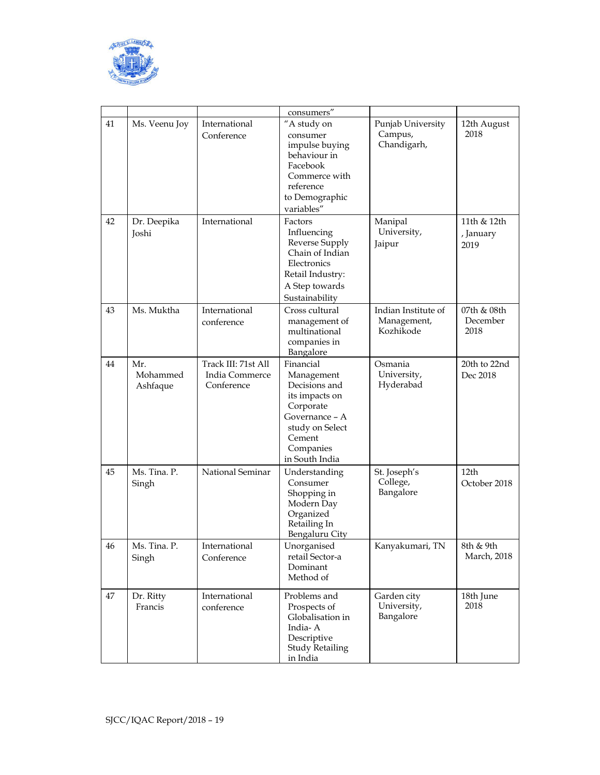

|    |                             |                                                     | consumers"                                                                                                                                            |                                                 |                                  |
|----|-----------------------------|-----------------------------------------------------|-------------------------------------------------------------------------------------------------------------------------------------------------------|-------------------------------------------------|----------------------------------|
| 41 | Ms. Veenu Joy               | International<br>Conference                         | "A study on<br>consumer<br>impulse buying<br>behaviour in<br>Facebook<br>Commerce with<br>reference<br>to Demographic<br>variables"                   | Punjab University<br>Campus,<br>Chandigarh,     | 12th August<br>2018              |
| 42 | Dr. Deepika<br>Joshi        | International                                       | Factors<br>Influencing<br>Reverse Supply<br>Chain of Indian<br>Electronics<br>Retail Industry:<br>A Step towards<br>Sustainability                    | Manipal<br>University,<br>Jaipur                | 11th & 12th<br>, January<br>2019 |
| 43 | Ms. Muktha                  | International<br>conference                         | Cross cultural<br>management of<br>multinational<br>companies in<br>Bangalore                                                                         | Indian Institute of<br>Management,<br>Kozhikode | 07th & 08th<br>December<br>2018  |
| 44 | Mr.<br>Mohammed<br>Ashfaque | Track III: 71st All<br>India Commerce<br>Conference | Financial<br>Management<br>Decisions and<br>its impacts on<br>Corporate<br>Governance – A<br>study on Select<br>Cement<br>Companies<br>in South India | Osmania<br>University,<br>Hyderabad             | 20th to 22nd<br>Dec 2018         |
| 45 | Ms. Tina. P.<br>Singh       | National Seminar                                    | Understanding<br>Consumer<br>Shopping in<br>Modern Day<br>Organized<br>Retailing In<br>Bengaluru City                                                 | St. Joseph's<br>College,<br>Bangalore           | 12th<br>October 2018             |
| 46 | Ms. Tina. P.<br>Singh       | International<br>Conference                         | Unorganised<br>retail Sector-a<br>Dominant<br>Method of                                                                                               | Kanyakumari, TN                                 | 8th & 9th<br>March, 2018         |
| 47 | Dr. Ritty<br>Francis        | International<br>conference                         | Problems and<br>Prospects of<br>Globalisation in<br>India-A<br>Descriptive<br><b>Study Retailing</b><br>in India                                      | Garden city<br>University,<br>Bangalore         | 18th June<br>2018                |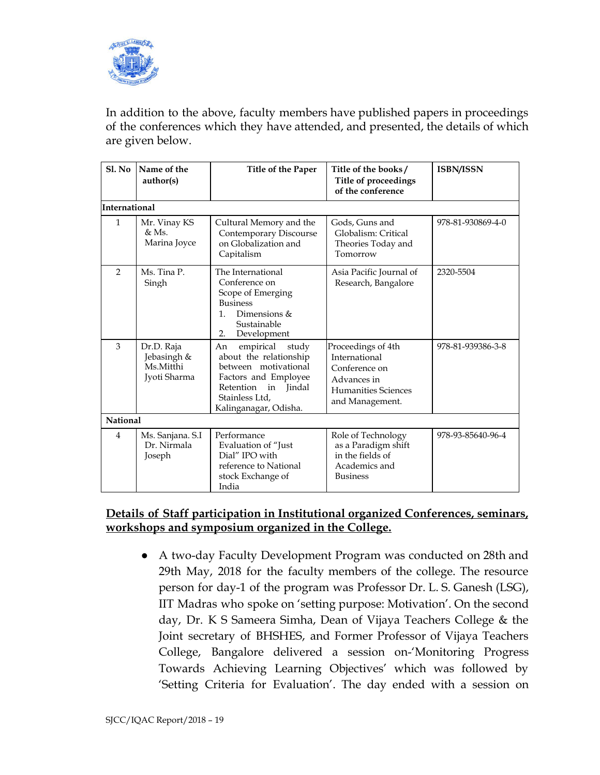

In addition to the above, faculty members have published papers in proceedings of the conferences which they have attended, and presented, the details of which are given below.

| $SL$ No         | Name of the<br>author(s)                               | Title of the Paper                                                                                                                                                      | Title of the books/<br><b>Title of proceedings</b><br>of the conference                                       | <b>ISBN/ISSN</b>  |
|-----------------|--------------------------------------------------------|-------------------------------------------------------------------------------------------------------------------------------------------------------------------------|---------------------------------------------------------------------------------------------------------------|-------------------|
| International   |                                                        |                                                                                                                                                                         |                                                                                                               |                   |
| $\mathbf{1}$    | Mr. Vinay KS<br>$&$ Ms.<br>Marina Joyce                | Cultural Memory and the<br>Contemporary Discourse<br>on Globalization and<br>Capitalism                                                                                 | Gods, Guns and<br>Globalism: Critical<br>Theories Today and<br>Tomorrow                                       | 978-81-930869-4-0 |
| $\mathcal{P}$   | Ms. Tina P.<br>Singh                                   | The International<br>Conference on<br>Scope of Emerging<br><b>Business</b><br>Dimensions &<br>$\mathbf{1}$ .<br>Sustainable<br>2.<br>Development                        | Asia Pacific Journal of<br>Research, Bangalore                                                                | 2320-5504         |
| 3               | Dr.D. Raja<br>Jebasingh &<br>Ms.Mitthi<br>Jyoti Sharma | empirical<br>study<br>An<br>about the relationship<br>between motivational<br>Factors and Employee<br>Retention<br>in Iindal<br>Stainless Ltd,<br>Kalinganagar, Odisha. | Proceedings of 4th<br>International<br>Conference on<br>Advances in<br>Humanities Sciences<br>and Management. | 978-81-939386-3-8 |
| <b>National</b> |                                                        |                                                                                                                                                                         |                                                                                                               |                   |
| $\overline{4}$  | Ms. Sanjana. S.I<br>Dr. Nirmala<br>Joseph              | Performance<br>Evaluation of "Just<br>Dial" IPO with<br>reference to National<br>stock Exchange of<br>India                                                             | Role of Technology<br>as a Paradigm shift<br>in the fields of<br>Academics and<br><b>Business</b>             | 978-93-85640-96-4 |

## **Details of Staff participation in Institutional organized Conferences, seminars, workshops and symposium organized in the College.**

● A two-day Faculty Development Program was conducted on 28th and 29th May, 2018 for the faculty members of the college. The resource person for day-1 of the program was Professor Dr. L. S. Ganesh (LSG), IIT Madras who spoke on 'setting purpose: Motivation'. On the second day, Dr. K S Sameera Simha, Dean of Vijaya Teachers College & the Joint secretary of BHSHES, and Former Professor of Vijaya Teachers College, Bangalore delivered a session on-'Monitoring Progress Towards Achieving Learning Objectives' which was followed by 'Setting Criteria for Evaluation'. The day ended with a session on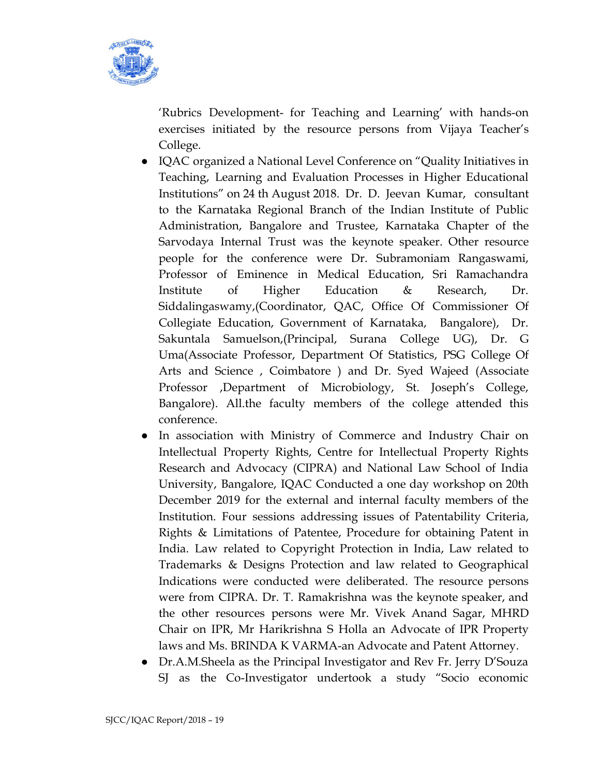

'Rubrics Development- for Teaching and Learning' with hands-on exercises initiated by the resource persons from Vijaya Teacher's College.

- IQAC organized a National Level Conference on "Quality Initiatives in Teaching, Learning and Evaluation Processes in Higher Educational Institutions" on 24 th August 2018. Dr. D. Jeevan Kumar, consultant to the Karnataka Regional Branch of the Indian Institute of Public Administration, Bangalore and Trustee, Karnataka Chapter of the Sarvodaya Internal Trust was the keynote speaker. Other resource people for the conference were Dr. Subramoniam Rangaswami, Professor of Eminence in Medical Education, Sri Ramachandra Institute of Higher Education & Research, Dr. Siddalingaswamy,(Coordinator, QAC, Office Of Commissioner Of Collegiate Education, Government of Karnataka, Bangalore), Dr. Sakuntala Samuelson,(Principal, Surana College UG), Dr. G Uma(Associate Professor, Department Of Statistics, PSG College Of Arts and Science , Coimbatore ) and Dr. Syed Wajeed (Associate Professor ,Department of Microbiology, St. Joseph's College, Bangalore). All.the faculty members of the college attended this conference.
- In association with Ministry of Commerce and Industry Chair on Intellectual Property Rights, Centre for Intellectual Property Rights Research and Advocacy (CIPRA) and National Law School of India University, Bangalore, IQAC Conducted a one day workshop on 20th December 2019 for the external and internal faculty members of the Institution. Four sessions addressing issues of Patentability Criteria, Rights & Limitations of Patentee, Procedure for obtaining Patent in India. Law related to Copyright Protection in India, Law related to Trademarks & Designs Protection and law related to Geographical Indications were conducted were deliberated. The resource persons were from CIPRA. Dr. T. Ramakrishna was the keynote speaker, and the other resources persons were Mr. Vivek Anand Sagar, MHRD Chair on IPR, Mr Harikrishna S Holla an Advocate of IPR Property laws and Ms. BRINDA K VARMA-an Advocate and Patent Attorney.
- Dr.A.M.Sheela as the Principal Investigator and Rev Fr. Jerry D'Souza SJ as the Co-Investigator undertook a study "Socio economic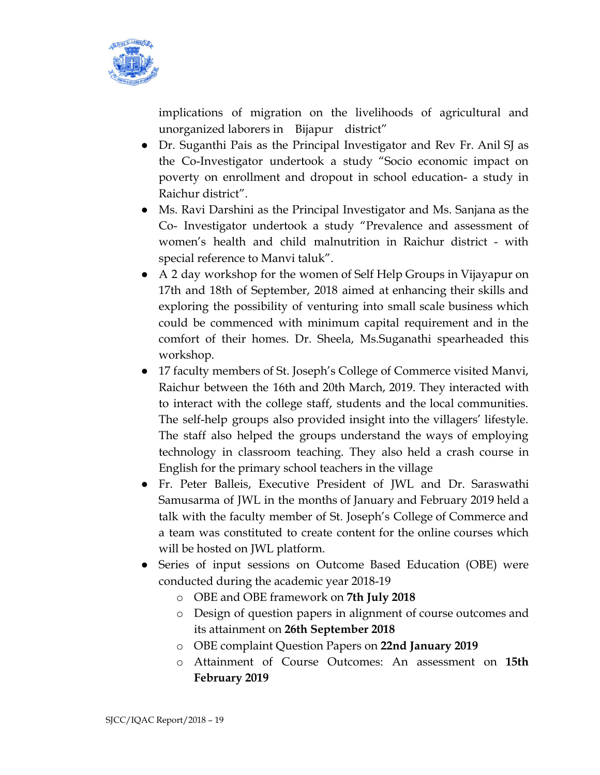

implications of migration on the livelihoods of agricultural and unorganized laborers in Bijapur district"

- Dr. Suganthi Pais as the Principal Investigator and Rev Fr. Anil SJ as the Co-Investigator undertook a study "Socio economic impact on poverty on enrollment and dropout in school education- a study in Raichur district".
- Ms. Ravi Darshini as the Principal Investigator and Ms. Sanjana as the Co- Investigator undertook a study "Prevalence and assessment of women's health and child malnutrition in Raichur district - with special reference to Manvi taluk".
- A 2 day workshop for the women of Self Help Groups in Vijayapur on 17th and 18th of September, 2018 aimed at enhancing their skills and exploring the possibility of venturing into small scale business which could be commenced with minimum capital requirement and in the comfort of their homes. Dr. Sheela, Ms.Suganathi spearheaded this workshop.
- 17 faculty members of St. Joseph's College of Commerce visited Manvi, Raichur between the 16th and 20th March, 2019. They interacted with to interact with the college staff, students and the local communities. The self-help groups also provided insight into the villagers' lifestyle. The staff also helped the groups understand the ways of employing technology in classroom teaching. They also held a crash course in English for the primary school teachers in the village
- Fr. Peter Balleis, Executive President of JWL and Dr. Saraswathi Samusarma of JWL in the months of January and February 2019 held a talk with the faculty member of St. Joseph's College of Commerce and a team was constituted to create content for the online courses which will be hosted on JWL platform.
- Series of input sessions on Outcome Based Education (OBE) were conducted during the academic year 2018-19
	- o OBE and OBE framework on **7th July 2018**
	- o Design of question papers in alignment of course outcomes and its attainment on **26th September 2018**
	- o OBE complaint Question Papers on **22nd January 2019**
	- o Attainment of Course Outcomes: An assessment on **15th February 2019**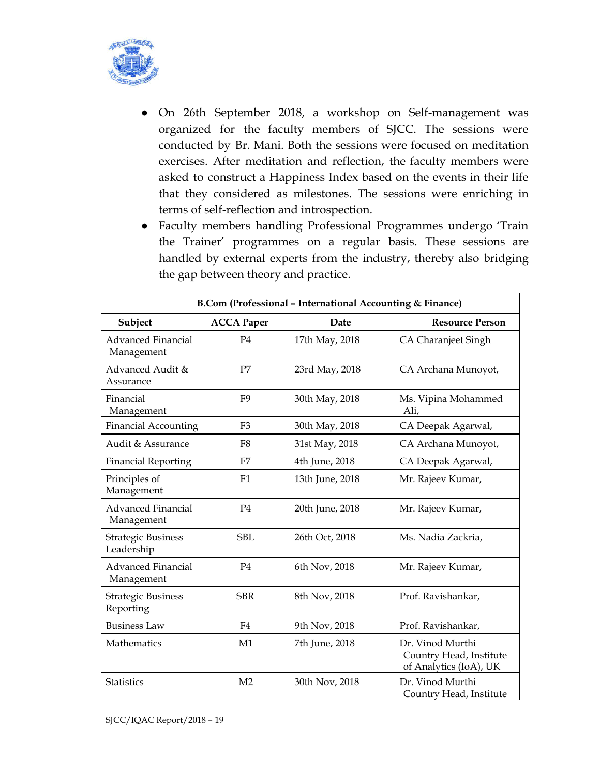

- On 26th September 2018, a workshop on Self-management was organized for the faculty members of SJCC. The sessions were conducted by Br. Mani. Both the sessions were focused on meditation exercises. After meditation and reflection, the faculty members were asked to construct a Happiness Index based on the events in their life that they considered as milestones. The sessions were enriching in terms of self-reflection and introspection.
- Faculty members handling Professional Programmes undergo 'Train the Trainer' programmes on a regular basis. These sessions are handled by external experts from the industry, thereby also bridging the gap between theory and practice.

| B.Com (Professional - International Accounting & Finance) |                   |                 |                                                                       |  |  |
|-----------------------------------------------------------|-------------------|-----------------|-----------------------------------------------------------------------|--|--|
| Subject                                                   | <b>ACCA Paper</b> | Date            | <b>Resource Person</b>                                                |  |  |
| <b>Advanced Financial</b><br>Management                   | P <sub>4</sub>    | 17th May, 2018  | CA Charanjeet Singh                                                   |  |  |
| Advanced Audit &<br>Assurance                             | P7                | 23rd May, 2018  | CA Archana Munoyot,                                                   |  |  |
| Financial<br>Management                                   | F <sub>9</sub>    | 30th May, 2018  | Ms. Vipina Mohammed<br>Ali,                                           |  |  |
| <b>Financial Accounting</b>                               | F <sub>3</sub>    | 30th May, 2018  | CA Deepak Agarwal,                                                    |  |  |
| Audit & Assurance                                         | F <sub>8</sub>    | 31st May, 2018  | CA Archana Munoyot,                                                   |  |  |
| <b>Financial Reporting</b>                                | F7                | 4th June, 2018  | CA Deepak Agarwal,                                                    |  |  |
| Principles of<br>Management                               | F1                | 13th June, 2018 | Mr. Rajeev Kumar,                                                     |  |  |
| <b>Advanced Financial</b><br>Management                   | P <sub>4</sub>    | 20th June, 2018 | Mr. Rajeev Kumar,                                                     |  |  |
| <b>Strategic Business</b><br>Leadership                   | <b>SBL</b>        | 26th Oct, 2018  | Ms. Nadia Zackria,                                                    |  |  |
| <b>Advanced Financial</b><br>Management                   | P <sub>4</sub>    | 6th Nov, 2018   | Mr. Rajeev Kumar,                                                     |  |  |
| <b>Strategic Business</b><br>Reporting                    | <b>SBR</b>        | 8th Nov, 2018   | Prof. Ravishankar,                                                    |  |  |
| <b>Business Law</b>                                       | F <sub>4</sub>    | 9th Nov, 2018   | Prof. Ravishankar,                                                    |  |  |
| Mathematics                                               | M1                | 7th June, 2018  | Dr. Vinod Murthi<br>Country Head, Institute<br>of Analytics (IoA), UK |  |  |
| <b>Statistics</b>                                         | M <sub>2</sub>    | 30th Nov, 2018  | Dr. Vinod Murthi<br>Country Head, Institute                           |  |  |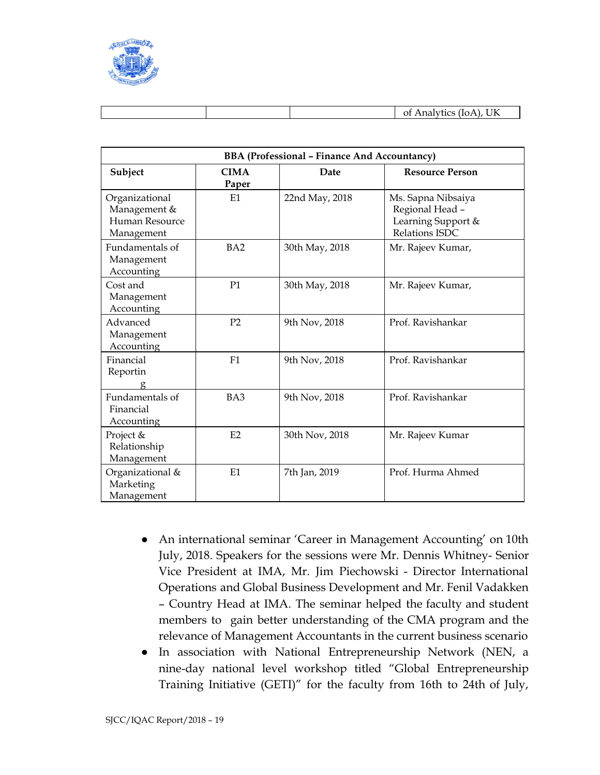

|  |  |  |  | UK<br>and the state of the contract of<br>$\mathbf{v}$<br>Οt<br>. |
|--|--|--|--|-------------------------------------------------------------------|
|--|--|--|--|-------------------------------------------------------------------|

| <b>BBA (Professional - Finance And Accountancy)</b>            |                      |                |                                                                               |  |  |
|----------------------------------------------------------------|----------------------|----------------|-------------------------------------------------------------------------------|--|--|
| Subject                                                        | <b>CIMA</b><br>Paper | Date           | <b>Resource Person</b>                                                        |  |  |
| Organizational<br>Management &<br>Human Resource<br>Management | E1                   | 22nd May, 2018 | Ms. Sapna Nibsaiya<br>Regional Head -<br>Learning Support &<br>Relations ISDC |  |  |
| Fundamentals of<br>Management<br>Accounting                    | BA <sub>2</sub>      | 30th May, 2018 | Mr. Rajeev Kumar,                                                             |  |  |
| Cost and<br>Management<br>Accounting                           | P <sub>1</sub>       | 30th May, 2018 | Mr. Rajeev Kumar,                                                             |  |  |
| Advanced<br>Management<br>Accounting                           | P <sub>2</sub>       | 9th Nov, 2018  | Prof. Ravishankar                                                             |  |  |
| Financial<br>Reportin                                          | F1                   | 9th Nov, 2018  | Prof. Ravishankar                                                             |  |  |
| Fundamentals of<br>Financial<br>Accounting                     | BA3                  | 9th Nov, 2018  | Prof. Ravishankar                                                             |  |  |
| Project &<br>Relationship<br>Management                        | E2                   | 30th Nov, 2018 | Mr. Rajeev Kumar                                                              |  |  |
| Organizational &<br>Marketing<br>Management                    | E1                   | 7th Jan, 2019  | Prof. Hurma Ahmed                                                             |  |  |

- An international seminar 'Career in Management Accounting' on 10th July, 2018. Speakers for the sessions were Mr. Dennis Whitney- Senior Vice President at IMA, Mr. Jim Piechowski - Director International Operations and Global Business Development and Mr. Fenil Vadakken – Country Head at IMA. The seminar helped the faculty and student members to gain better understanding of the CMA program and the relevance of Management Accountants in the current business scenario
- In association with National Entrepreneurship Network (NEN, a nine-day national level workshop titled "Global Entrepreneurship Training Initiative (GETI)" for the faculty from 16th to 24th of July,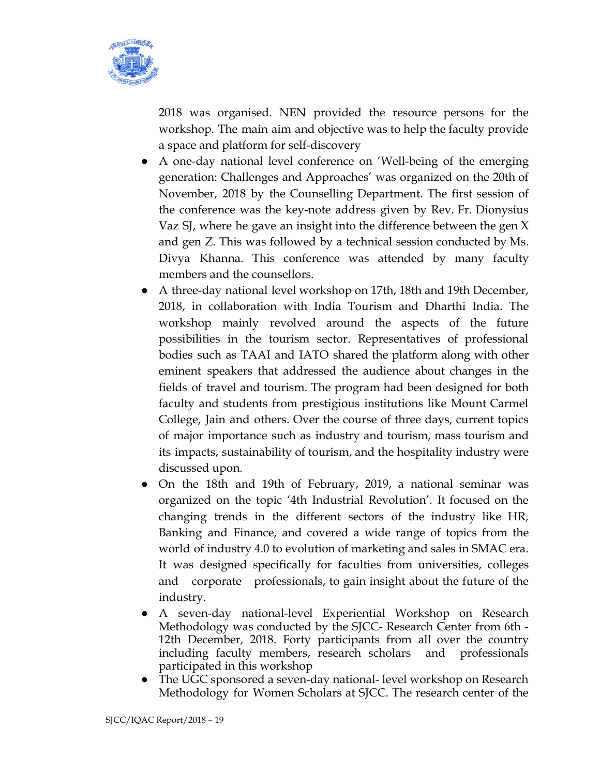

2018 was organised. NEN provided the resource persons for the workshop. The main aim and objective was to help the faculty provide a space and platform for self-discovery

- A one-day national level conference on 'Well-being of the emerging generation: Challenges and Approaches' was organized on the 20th of November, 2018 by the Counselling Department. The first session of the conference was the key-note address given by Rev. Fr. Dionysius Vaz SJ, where he gave an insight into the difference between the gen X and gen Z. This was followed by a technical session conducted by Ms. Divya Khanna. This conference was attended by many faculty members and the counsellors.
- A three-day national level workshop on 17th, 18th and 19th December, 2018, in collaboration with India Tourism and Dharthi India. The workshop mainly revolved around the aspects of the future possibilities in the tourism sector. Representatives of professional bodies such as TAAI and IATO shared the platform along with other eminent speakers that addressed the audience about changes in the fields of travel and tourism. The program had been designed for both faculty and students from prestigious institutions like Mount Carmel College, Jain and others. Over the course of three days, current topics of major importance such as industry and tourism, mass tourism and its impacts, sustainability of tourism, and the hospitality industry were discussed upon.
- On the 18th and 19th of February, 2019, a national seminar was organized on the topic '4th Industrial Revolution'. It focused on the changing trends in the different sectors of the industry like HR, Banking and Finance, and covered a wide range of topics from the world of industry 4.0 to evolution of marketing and sales in SMAC era. It was designed specifically for faculties from universities, colleges and corporate professionals, to gain insight about the future of the industry.
- A seven-day national-level Experiential Workshop on Research Methodology was conducted by the SJCC- Research Center from 6th - 12th December, 2018. Forty participants from all over the country including faculty members, research scholars and professionals participated in this workshop
- The UGC sponsored a seven-day national- level workshop on Research Methodology for Women Scholars at SJCC. The research center of the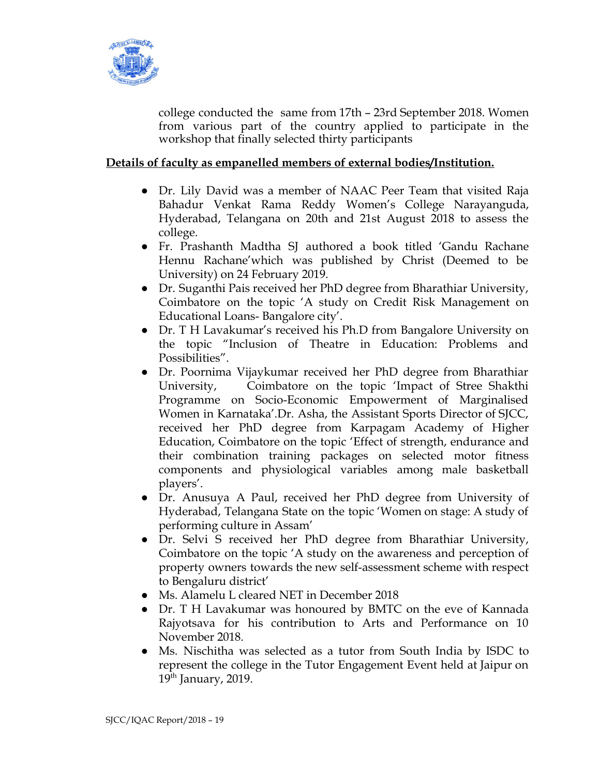

college conducted the same from 17th – 23rd September 2018. Women from various part of the country applied to participate in the workshop that finally selected thirty participants

## **Details of faculty as empanelled members of external bodies/Institution.**

- Dr. Lily David was a member of NAAC Peer Team that visited Raja Bahadur Venkat Rama Reddy Women's College Narayanguda, Hyderabad, Telangana on 20th and 21st August 2018 to assess the college.
- Fr. Prashanth Madtha SJ authored a book titled 'Gandu Rachane Hennu Rachane'which was published by Christ (Deemed to be University) on 24 February 2019.
- Dr. Suganthi Pais received her PhD degree from Bharathiar University, Coimbatore on the topic 'A study on Credit Risk Management on Educational Loans- Bangalore city'.
- Dr. T H Lavakumar's received his Ph.D from Bangalore University on the topic "Inclusion of Theatre in Education: Problems and Possibilities".
- Dr. Poornima Vijaykumar received her PhD degree from Bharathiar University, Coimbatore on the topic 'Impact of Stree Shakthi Programme on Socio-Economic Empowerment of Marginalised Women in Karnataka'.Dr. Asha, the Assistant Sports Director of SJCC, received her PhD degree from Karpagam Academy of Higher Education, Coimbatore on the topic 'Effect of strength, endurance and their combination training packages on selected motor fitness components and physiological variables among male basketball players'.
- Dr. Anusuya A Paul, received her PhD degree from University of Hyderabad, Telangana State on the topic 'Women on stage: A study of performing culture in Assam'
- Dr. Selvi S received her PhD degree from Bharathiar University, Coimbatore on the topic 'A study on the awareness and perception of property owners towards the new self-assessment scheme with respect to Bengaluru district'
- Ms. Alamelu L cleared NET in December 2018
- Dr. T H Lavakumar was honoured by BMTC on the eve of Kannada Rajyotsava for his contribution to Arts and Performance on 10 November 2018.
- Ms. Nischitha was selected as a tutor from South India by ISDC to represent the college in the Tutor Engagement Event held at Jaipur on 19<sup>th</sup> January, 2019.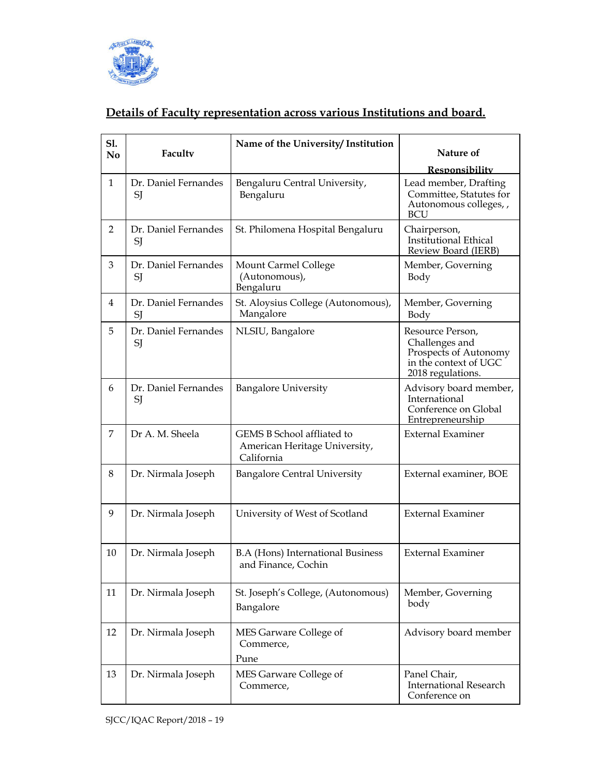

## **Details of Faculty representation across various Institutions and board.**

| S1.<br>No      | Faculty                    | Name of the University/Institution                                        | Nature of                                                                                                 |
|----------------|----------------------------|---------------------------------------------------------------------------|-----------------------------------------------------------------------------------------------------------|
|                |                            |                                                                           | Responsibility                                                                                            |
| 1              | Dr. Daniel Fernandes<br>SJ | Bengaluru Central University,<br>Bengaluru                                | Lead member, Drafting<br>Committee, Statutes for<br>Autonomous colleges, ,<br>BCU                         |
| $\overline{2}$ | Dr. Daniel Fernandes<br>SJ | St. Philomena Hospital Bengaluru                                          | Chairperson,<br><b>Institutional Ethical</b><br>Review Board (IERB)                                       |
| 3              | Dr. Daniel Fernandes<br>SJ | Mount Carmel College<br>(Autonomous),<br>Bengaluru                        | Member, Governing<br>Body                                                                                 |
| 4              | Dr. Daniel Fernandes<br>SI | St. Aloysius College (Autonomous),<br>Mangalore                           | Member, Governing<br>Body                                                                                 |
| 5              | Dr. Daniel Fernandes<br>SJ | NLSIU, Bangalore                                                          | Resource Person,<br>Challenges and<br>Prospects of Autonomy<br>in the context of UGC<br>2018 regulations. |
| 6              | Dr. Daniel Fernandes<br>SJ | <b>Bangalore University</b>                                               | Advisory board member,<br>International<br>Conference on Global<br>Entrepreneurship                       |
| 7              | Dr A. M. Sheela            | GEMS B School affliated to<br>American Heritage University,<br>California | <b>External Examiner</b>                                                                                  |
| 8              | Dr. Nirmala Joseph         | <b>Bangalore Central University</b>                                       | External examiner, BOE                                                                                    |
| 9              | Dr. Nirmala Joseph         | University of West of Scotland                                            | <b>External Examiner</b>                                                                                  |
| 10             | Dr. Nirmala Joseph         | <b>B.A (Hons) International Business</b><br>and Finance, Cochin           | <b>External Examiner</b>                                                                                  |
| 11             | Dr. Nirmala Joseph         | St. Joseph's College, (Autonomous)<br>Bangalore                           | Member, Governing<br>body                                                                                 |
| 12             | Dr. Nirmala Joseph         | MES Garware College of<br>Commerce,<br>Pune                               | Advisory board member                                                                                     |
| 13             | Dr. Nirmala Joseph         | MES Garware College of<br>Commerce,                                       | Panel Chair,<br><b>International Research</b><br>Conference on                                            |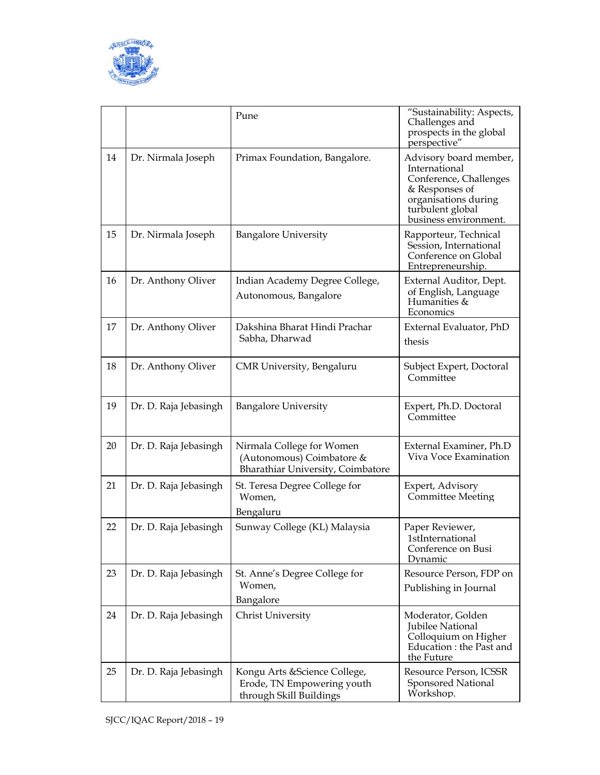

|    |                       | Pune                                                                                        | "Sustainability: Aspects,<br>Challenges and<br>prospects in the global<br>perspective"                                                                   |
|----|-----------------------|---------------------------------------------------------------------------------------------|----------------------------------------------------------------------------------------------------------------------------------------------------------|
| 14 | Dr. Nirmala Joseph    | Primax Foundation, Bangalore.                                                               | Advisory board member,<br>International<br>Conference, Challenges<br>& Responses of<br>organisations during<br>turbulent global<br>business environment. |
| 15 | Dr. Nirmala Joseph    | <b>Bangalore University</b>                                                                 | Rapporteur, Technical<br>Session, International<br>Conference on Global<br>Entrepreneurship.                                                             |
| 16 | Dr. Anthony Oliver    | Indian Academy Degree College,<br>Autonomous, Bangalore                                     | External Auditor, Dept.<br>of English, Language<br>Humanities &<br>Economics                                                                             |
| 17 | Dr. Anthony Oliver    | Dakshina Bharat Hindi Prachar<br>Sabha, Dharwad                                             | External Evaluator, PhD<br>thesis                                                                                                                        |
| 18 | Dr. Anthony Oliver    | CMR University, Bengaluru                                                                   | Subject Expert, Doctoral<br>Committee                                                                                                                    |
| 19 | Dr. D. Raja Jebasingh | <b>Bangalore University</b>                                                                 | Expert, Ph.D. Doctoral<br>Committee                                                                                                                      |
| 20 | Dr. D. Raja Jebasingh | Nirmala College for Women<br>(Autonomous) Coimbatore &<br>Bharathiar University, Coimbatore | External Examiner, Ph.D<br>Viva Voce Examination                                                                                                         |
| 21 | Dr. D. Raja Jebasingh | St. Teresa Degree College for<br>Women,<br>Bengaluru                                        | Expert, Advisory<br><b>Committee Meeting</b>                                                                                                             |
| 22 | Dr. D. Raja Jebasingh | Sunway College (KL) Malaysia                                                                | Paper Reviewer,<br><b>1stInternational</b><br>Conference on Busi<br>Dynamic                                                                              |
| 23 | Dr. D. Raja Jebasingh | St. Anne's Degree College for<br>Women,<br>Bangalore                                        | Resource Person, FDP on<br>Publishing in Journal                                                                                                         |
| 24 | Dr. D. Raja Jebasingh | Christ University                                                                           | Moderator, Golden<br>Jubilee National<br>Colloquium on Higher<br>Education: the Past and<br>the Future                                                   |
| 25 | Dr. D. Raja Jebasingh | Kongu Arts & Science College,<br>Erode, TN Empowering youth<br>through Skill Buildings      | Resource Person, ICSSR<br>Sponsored National<br>Workshop.                                                                                                |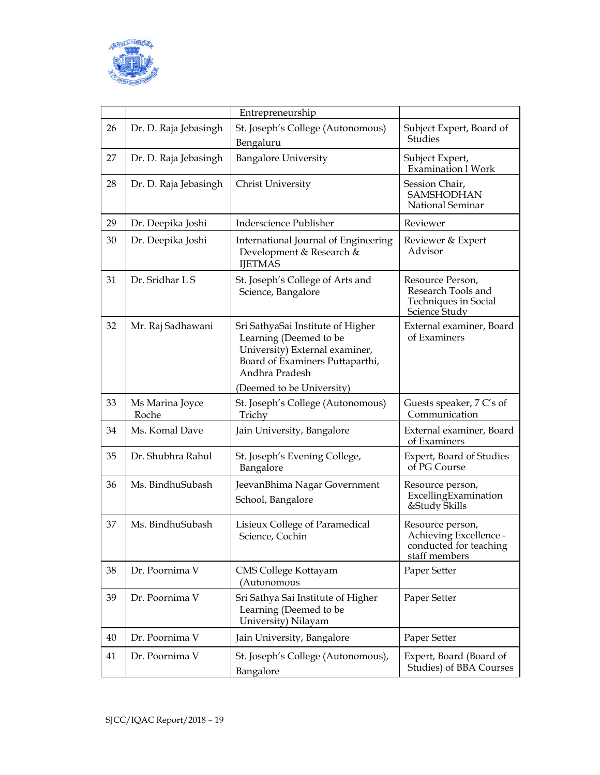

|    |                          | Entrepreneurship                                                                                                                                                                |                                                                                       |
|----|--------------------------|---------------------------------------------------------------------------------------------------------------------------------------------------------------------------------|---------------------------------------------------------------------------------------|
| 26 | Dr. D. Raja Jebasingh    | St. Joseph's College (Autonomous)<br>Bengaluru                                                                                                                                  | Subject Expert, Board of<br>Studies                                                   |
| 27 | Dr. D. Raja Jebasingh    | <b>Bangalore University</b>                                                                                                                                                     | Subject Expert,<br><b>Examination 1 Work</b>                                          |
| 28 | Dr. D. Raja Jebasingh    | Christ University                                                                                                                                                               | Session Chair,<br>SAMSHODHAN<br>National Seminar                                      |
| 29 | Dr. Deepika Joshi        | <b>Inderscience Publisher</b>                                                                                                                                                   | Reviewer                                                                              |
| 30 | Dr. Deepika Joshi        | International Journal of Engineering<br>Development & Research &<br><b>IJETMAS</b>                                                                                              | Reviewer & Expert<br>Advisor                                                          |
| 31 | Dr. Sridhar L S          | St. Joseph's College of Arts and<br>Science, Bangalore                                                                                                                          | Resource Person,<br>Research Tools and<br>Techniques in Social<br>Science Study       |
| 32 | Mr. Raj Sadhawani        | Sri SathyaSai Institute of Higher<br>Learning (Deemed to be<br>University) External examiner,<br>Board of Examiners Puttaparthi,<br>Andhra Pradesh<br>(Deemed to be University) | External examiner, Board<br>of Examiners                                              |
| 33 | Ms Marina Joyce<br>Roche | St. Joseph's College (Autonomous)<br>Trichy                                                                                                                                     | Guests speaker, 7 C's of<br>Communication                                             |
| 34 | Ms. Komal Dave           | Jain University, Bangalore                                                                                                                                                      | External examiner, Board<br>of Examiners                                              |
| 35 | Dr. Shubhra Rahul        | St. Joseph's Evening College,<br>Bangalore                                                                                                                                      | <b>Expert, Board of Studies</b><br>of PG Course                                       |
| 36 | Ms. BindhuSubash         | JeevanBhima Nagar Government<br>School, Bangalore                                                                                                                               | Resource person,<br>ExcellingExamination<br>&Study Skills                             |
| 37 | Ms. BindhuSubash         | Lisieux College of Paramedical<br>Science, Cochin                                                                                                                               | Resource person,<br>Achieving Excellence -<br>conducted for teaching<br>staff members |
| 38 | Dr. Poornima V           | CMS College Kottayam<br>(Autonomous                                                                                                                                             | Paper Setter                                                                          |
| 39 | Dr. Poornima V           | Sri Sathya Sai Institute of Higher<br>Learning (Deemed to be<br>University) Nilayam                                                                                             | Paper Setter                                                                          |
| 40 | Dr. Poornima V           | Jain University, Bangalore                                                                                                                                                      | Paper Setter                                                                          |
| 41 | Dr. Poornima V           | St. Joseph's College (Autonomous),<br>Bangalore                                                                                                                                 | Expert, Board (Board of<br>Studies) of BBA Courses                                    |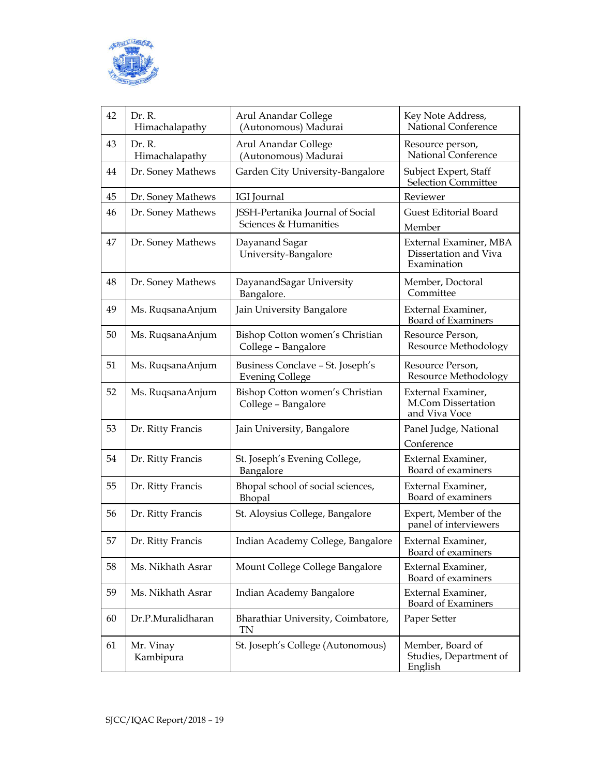

| 42 | Dr. R.<br>Himachalapathy | Arul Anandar College<br>(Autonomous) Madurai               | Key Note Address,<br>National Conference                       |
|----|--------------------------|------------------------------------------------------------|----------------------------------------------------------------|
| 43 | Dr. R.<br>Himachalapathy | Arul Anandar College<br>(Autonomous) Madurai               | Resource person,<br>National Conference                        |
| 44 | Dr. Soney Mathews        | Garden City University-Bangalore                           | Subject Expert, Staff<br><b>Selection Committee</b>            |
| 45 | Dr. Soney Mathews        | <b>IGI</b> Journal                                         | Reviewer                                                       |
| 46 | Dr. Soney Mathews        | JSSH-Pertanika Journal of Social<br>Sciences & Humanities  | <b>Guest Editorial Board</b><br>Member                         |
| 47 | Dr. Soney Mathews        | Dayanand Sagar<br>University-Bangalore                     | External Examiner, MBA<br>Dissertation and Viva<br>Examination |
| 48 | Dr. Soney Mathews        | DayanandSagar University<br>Bangalore.                     | Member, Doctoral<br>Committee                                  |
| 49 | Ms. RuqsanaAnjum         | Jain University Bangalore                                  | External Examiner,<br>Board of Examiners                       |
| 50 | Ms. RuqsanaAnjum         | Bishop Cotton women's Christian<br>College - Bangalore     | Resource Person,<br><b>Resource Methodology</b>                |
| 51 | Ms. RuqsanaAnjum         | Business Conclave - St. Joseph's<br><b>Evening College</b> | Resource Person,<br>Resource Methodology                       |
| 52 | Ms. RuqsanaAnjum         | Bishop Cotton women's Christian<br>College - Bangalore     | External Examiner,<br>M.Com Dissertation<br>and Viva Voce      |
| 53 | Dr. Ritty Francis        | Jain University, Bangalore                                 | Panel Judge, National<br>Conference                            |
| 54 | Dr. Ritty Francis        | St. Joseph's Evening College,<br>Bangalore                 | External Examiner,<br>Board of examiners                       |
| 55 | Dr. Ritty Francis        | Bhopal school of social sciences,<br>Bhopal                | External Examiner,<br>Board of examiners                       |
| 56 | Dr. Ritty Francis        | St. Aloysius College, Bangalore                            | Expert, Member of the<br>panel of interviewers                 |
| 57 | Dr. Ritty Francis        | Indian Academy College, Bangalore                          | External Examiner,<br>Board of examiners                       |
| 58 | Ms. Nikhath Asrar        | Mount College College Bangalore                            | External Examiner,<br>Board of examiners                       |
| 59 | Ms. Nikhath Asrar        | Indian Academy Bangalore                                   | External Examiner,<br>Board of Examiners                       |
| 60 | Dr.P.Muralidharan        | Bharathiar University, Coimbatore,<br><b>TN</b>            | Paper Setter                                                   |
| 61 | Mr. Vinay<br>Kambipura   | St. Joseph's College (Autonomous)                          | Member, Board of<br>Studies, Department of<br>English          |